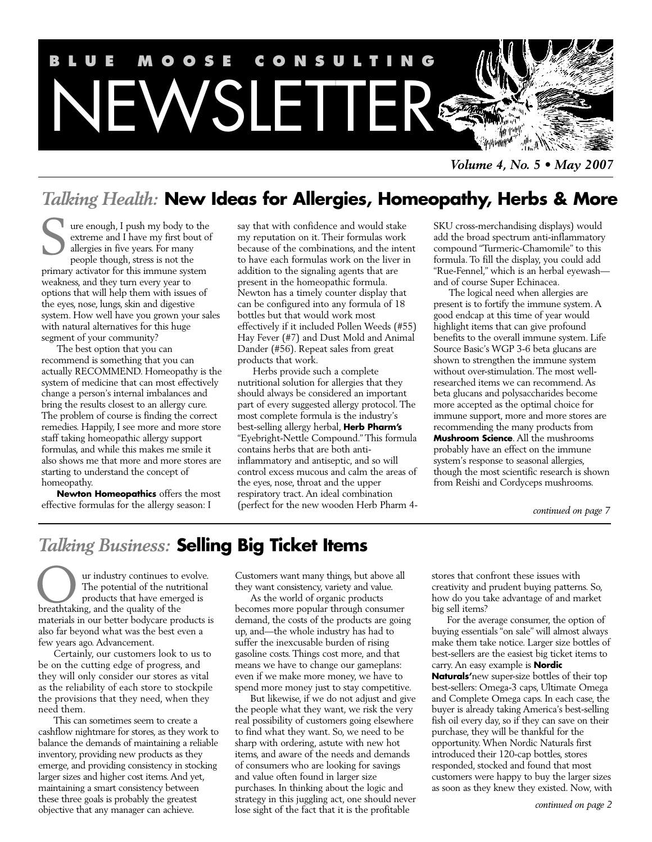

*Volume 4, No. 5 • May 2007*

# *Talking Health:* **New Ideas for Allergies, Homeopathy, Herbs & More**

ure enough, I push my body to the extreme and I have my first bout of allergies in five years. For many people though, stress is not the primary activator for this immune system weakness, and they turn every year to options that will help them with issues of the eyes, nose, lungs, skin and digestive system. How well have you grown your sales with natural alternatives for this huge segment of your community? S

The best option that you can recommend is something that you can actually RECOMMEND. Homeopathy is the system of medicine that can most effectively change a person's internal imbalances and bring the results closest to an allergy cure. The problem of course is finding the correct remedies. Happily, I see more and more store staff taking homeopathic allergy support formulas, and while this makes me smile it also shows me that more and more stores are starting to understand the concept of homeopathy.

**Newton Homeopathics** offers the most effective formulas for the allergy season: I

say that with confidence and would stake my reputation on it. Their formulas work because of the combinations, and the intent to have each formulas work on the liver in addition to the signaling agents that are present in the homeopathic formula. Newton has a timely counter display that can be configured into any formula of 18 bottles but that would work most effectively if it included Pollen Weeds (#55) Hay Fever (#7) and Dust Mold and Animal Dander (#56). Repeat sales from great products that work.

Herbs provide such a complete nutritional solution for allergies that they should always be considered an important part of every suggested allergy protocol. The most complete formula is the industry's best-selling allergy herbal, **Herb Pharm's** "Eyebright-Nettle Compound." This formula contains herbs that are both antiinflammatory and antiseptic, and so will control excess mucous and calm the areas of the eyes, nose, throat and the upper respiratory tract. An ideal combination (perfect for the new wooden Herb Pharm 4SKU cross-merchandising displays) would add the broad spectrum anti-inflammatory compound "Turmeric-Chamomile" to this formula. To fill the display, you could add "Rue-Fennel," which is an herbal eyewash and of course Super Echinacea.

The logical need when allergies are present is to fortify the immune system. A good endcap at this time of year would highlight items that can give profound benefits to the overall immune system. Life Source Basic's WGP 3-6 beta glucans are shown to strengthen the immune system without over-stimulation.The most wellresearched items we can recommend. As beta glucans and polysaccharides become more accepted as the optimal choice for immune support, more and more stores are recommending the many products from **Mushroom Science**. All the mushrooms probably have an effect on the immune system's response to seasonal allergies, though the most scientific research is shown from Reishi and Cordyceps mushrooms.

*continued on page 7*

# *Talking Business:* **Selling Big Ticket Items**

ur industry continues to evolve. The potential of the nutritional products that have emerged is Our industry continues to<br>
The potential of the nut<br>
breathtaking, and the quality of the materials in our better bodycare products is also far beyond what was the best even a few years ago. Advancement.

Certainly, our customers look to us to be on the cutting edge of progress, and they will only consider our stores as vital as the reliability of each store to stockpile the provisions that they need, when they need them.

This can sometimes seem to create a cashflow nightmare for stores, as they work to balance the demands of maintaining a reliable inventory, providing new products as they emerge, and providing consistency in stocking larger sizes and higher cost items.And yet, maintaining a smart consistency between these three goals is probably the greatest objective that any manager can achieve.

Customers want many things, but above all they want consistency, variety and value.

As the world of organic products becomes more popular through consumer demand, the costs of the products are going up, and—the whole industry has had to suffer the inexcusable burden of rising gasoline costs. Things cost more, and that means we have to change our gameplans: even if we make more money, we have to spend more money just to stay competitive.

But likewise, if we do not adjust and give the people what they want, we risk the very real possibility of customers going elsewhere to find what they want. So, we need to be sharp with ordering, astute with new hot items, and aware of the needs and demands of consumers who are looking for savings and value often found in larger size purchases. In thinking about the logic and strategy in this juggling act, one should never lose sight of the fact that it is the profitable

stores that confront these issues with creativity and prudent buying patterns. So, how do you take advantage of and market big sell items?

For the average consumer, the option of buying essentials "on sale" will almost always make them take notice. Larger size bottles of best-sellers are the easiest big ticket items to carry. An easy example is **Nordic Naturals'**new super-size bottles of their top best-sellers: Omega-3 caps, Ultimate Omega and Complete Omega caps. In each case, the buyer is already taking America's best-selling fish oil every day, so if they can save on their purchase, they will be thankful for the opportunity.When Nordic Naturals first introduced their 120-cap bottles, stores responded, stocked and found that most customers were happy to buy the larger sizes as soon as they knew they existed. Now, with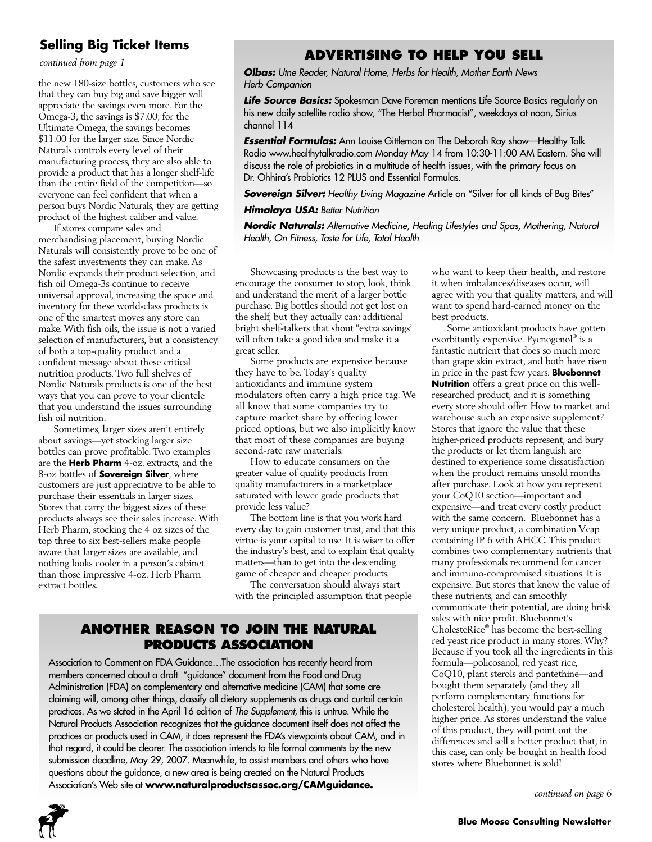# **Selling Big Ticket Items**

*continued from page 1*

the new 180-size bottles, customers who see that they can buy big and save bigger will appreciate the savings even more. For the Omega-3, the savings is \$7.00; for the Ultimate Omega, the savings becomes \$11.00 for the larger size. Since Nordic Naturals controls every level of their manufacturing process, they are also able to provide a product that has a longer shelf-life than the entire field of the competition—so everyone can feel confident that when a person buys Nordic Naturals, they are getting product of the highest caliber and value.

If stores compare sales and merchandising placement, buying Nordic Naturals will consistently prove to be one of the safest investments they can make. As Nordic expands their product selection, and fish oil Omega-3s continue to receive universal approval, increasing the space and inventory for these world-class products is one of the smartest moves any store can make.With fish oils, the issue is not a varied selection of manufacturers, but a consistency of both a top-quality product and a confident message about these critical nutrition products. Two full shelves of Nordic Naturals products is one of the best ways that you can prove to your clientele that you understand the issues surrounding fish oil nutrition.

Sometimes, larger sizes aren't entirely about savings—yet stocking larger size bottles can prove profitable. Two examples are the **Herb Pharm** 4-oz. extracts, and the 8-oz bottles of **Sovereign Silver**, where customers are just appreciative to be able to purchase their essentials in larger sizes. Stores that carry the biggest sizes of these products always see their sales increase.With Herb Pharm, stocking the 4 oz sizes of the top three to six best-sellers make people aware that larger sizes are available, and nothing looks cooler in a person's cabinet than those impressive 4-oz. Herb Pharm extract bottles.

## **ADVERTISING TO HELP YOU SELL**

**Olbas:** Utne Reader, Natural Home, Herbs for Health, Mother Earth News Herb Companion

**Life Source Basics:** Spokesman Dave Foreman mentions Life Source Basics regularly on his new daily satellite radio show, "The Herbal Pharmacist", weekdays at noon, Sirius channel 114

**Essential Formulas:** Ann Louise Gittleman on The Deborah Ray show—Healthy Talk Radio www.healthytalkradio.com Monday May 14 from 10:30-11:00 AM Eastern. She will discuss the role of probiotics in a multitude of health issues, with the primary focus on Dr. Ohhira's Probiotics 12 PLUS and Essential Formulas.

**Sovereign Silver:** Healthy Living Magazine Article on "Silver for all kinds of Bug Bites"

### **Himalaya USA: Better Nutrition**

**Nordic Naturals:** Alternative Medicine, Healing Lifestyles and Spas, Mothering, Natural Health, On Fitness, Taste for Life, Total Health

Showcasing products is the best way to encourage the consumer to stop, look, think and understand the merit of a larger bottle purchase. Big bottles should not get lost on the shelf, but they actually can: additional bright shelf-talkers that shout "extra savings' will often take a good idea and make it a great seller.

Some products are expensive because they have to be. Today's quality antioxidants and immune system modulators often carry a high price tag. We all know that some companies try to capture market share by offering lower priced options, but we also implicitly know that most of these companies are buying second-rate raw materials.

How to educate consumers on the greater value of quality products from quality manufacturers in a marketplace saturated with lower grade products that provide less value?

The bottom line is that you work hard every day to gain customer trust, and that this virtue is your capital to use. It is wiser to offer the industry's best, and to explain that quality matters—than to get into the descending game of cheaper and cheaper products.

The conversation should always start with the principled assumption that people

## **ANOTHER REASON TO JOIN THE NATURAL PRODUCTS ASSOCIATION**

Association to Comment on FDA Guidance…The association has recently heard from members concerned about a draft "guidance" document from the Food and Drug Administration (FDA) on complementary and alternative medicine (CAM) that some are claiming will, among other things, classify all dietary supplements as drugs and curtail certain practices. As we stated in the April 16 edition of The Supplement, this is untrue. While the Natural Products Association recognizes that the guidance document itself does not affect the practices or products used in CAM, it does represent the FDA's viewpoints about CAM, and in that regard, it could be clearer. The association intends to file formal comments by the new submission deadline, May 29, 2007. Meanwhile, to assist members and others who have questions about the guidance, a new area is being created on the Natural Products Association's Web site at **www.naturalproductsassoc.org/CAMguidance.**

who want to keep their health, and restore it when imbalances/diseases occur, will agree with you that quality matters, and will want to spend hard-earned money on the best products.

Some antioxidant products have gotten exorbitantly expensive. Pycnogenol ® is a fantastic nutrient that does so much more than grape skin extract, and both have risen in price in the past few years. **Bluebonnet Nutrition** offers a great price on this wellresearched product, and it is something every store should offer. How to market and warehouse such an expensive supplement? Stores that ignore the value that these higher-priced products represent, and bury the products or let them languish are destined to experience some dissatisfaction when the product remains unsold months after purchase. Look at how you represent your CoQ10 section—important and expensive—and treat every costly product with the same concern. Bluebonnet has a very unique product, a combination Vcap containing IP 6 with AHCC. This product combines two complementary nutrients that many professionals recommend for cancer and immuno-compromised situations. It is expensive. But stores that know the value of these nutrients, and can smoothly communicate their potential, are doing brisk sales with nice profit. Bluebonnet's CholesteRice® has become the best-selling red yeast rice product in many stores.Why? Because if you took all the ingredients in this formula—policosanol, red yeast rice, CoQ10, plant sterols and pantethine—and bought them separately (and they all perform complementary functions for cholesterol health), you would pay a much higher price. As stores understand the value of this product, they will point out the differences and sell a better product that, in this case, can only be bought in health food stores where Bluebonnet is sold!

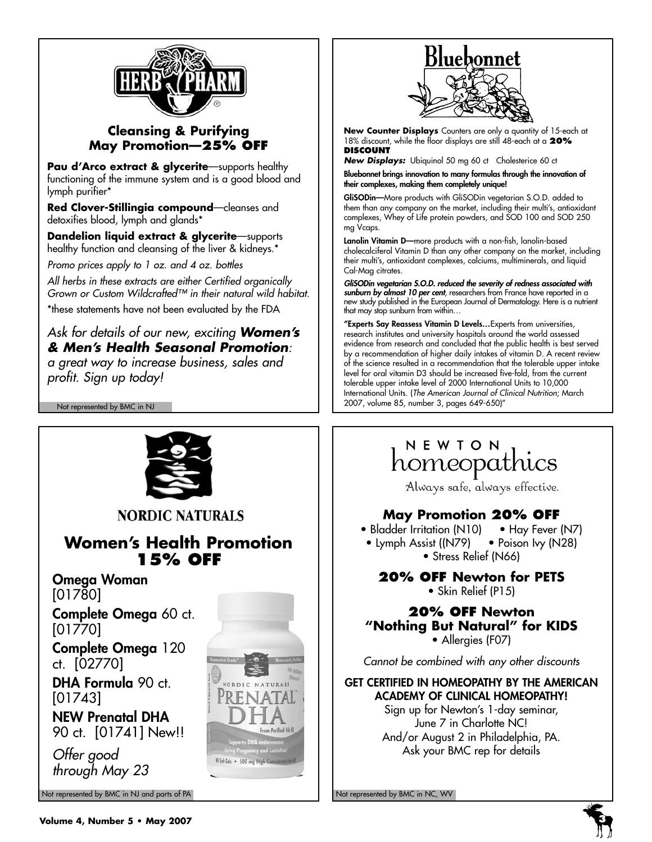

## **Cleansing & Purifying May Promotion—25% OFF**

**Pau d'Arco extract & glycerite**—supports healthy functioning of the immune system and is a good blood and lymph purifier\*

**Red Clover-Stillingia compound**—cleanses and detoxifies blood, lymph and glands\*

**Dandelion liquid extract & glycerite**—supports healthy function and cleansing of the liver & kidneys.\*

Promo prices apply to 1 oz. and 4 oz. bottles

All herbs in these extracts are either Certified organically Grown or Custom Wildcrafted™ in their natural wild habitat.

\*these statements have not been evaluated by the FDA

## Ask for details of our new, exciting **Women's & Men's Health Seasonal Promotion**:

a great way to increase business, sales and profit. Sign up today!

Not represented by BMC in NJ



**NORDIC NATURALS** 

# **Women's Health Promotion 15% OFF**

Omega Woman

[01780]

Complete Omega 60 ct. [01770]

Complete Omega 120 ct. [02770]

DHA Formula 90 ct. [01743]

NEW Prenatal DHA 90 ct. [01741] New!!

Offer good through May 23

Not represented by BMC in NJ and parts of PA Not represented by BMC in NC, WV Not represented by BMC in NC, WV





**New Counter Displays** Counters are only a quantity of 15-each at 18% discount, while the floor displays are still 48-each at a **20% DISCOUNT**

**New Displays:** Ubiquinol 50 mg 60 ct Cholesterice 60 ct

Bluebonnet brings innovation to many formulas through the innovation of their complexes, making them completely unique!

GliSODin—More products with GliSODin vegetarian S.O.D. added to them than any company on the market, including their multi's, antioxidant complexes, Whey of Life protein powders, and SOD 100 and SOD 250 mg Vcaps.

Lanolin Vitamin D—more products with a non-fish, lanolin-based cholecalciferol Vitamin D than any other company on the market, including their multi's, antioxidant complexes, calciums, multiminerals, and liquid Cal-Mag citrates.

GliSODin vegetarian S.O.D. reduced the severity of redness associated with sunburn by almost 10 per cent, researchers from France have reported in a new study published in the European Journal of Dermatology. Here is a nutrient that may stop sunburn from within…

"Experts Say Reassess Vitamin D Levels…Experts from universities, research institutes and university hospitals around the world assessed evidence from research and concluded that the public health is best served by a recommendation of higher daily intakes of vitamin D. A recent review of the science resulted in a recommendation that the tolerable upper intake level for oral vitamin D3 should be increased five-fold, from the current tolerable upper intake level of 2000 International Units to 10,000 International Units. (The American Journal of Clinical Nutrition; March 2007, volume 85, number 3, pages 649-650)"

# NEWTON homeopathics

Always safe, always effective.

## **May Promotion 20% OFF**

• Bladder Irritation (N10) • Hay Fever (N7) • Lymph Assist ((N79) • Poison Ivy (N28) • Stress Relief (N66)

**20% OFF Newton for PETS** • Skin Relief (P15)

### **20% OFF Newton "Nothing But Natural" for KIDS** • Allergies (F07)

Cannot be combined with any other discounts

GET CERTIFIED IN HOMEOPATHY BY THE AMERICAN ACADEMY OF CLINICAL HOMEOPATHY!

Sign up for Newton's 1-day seminar, June 7 in Charlotte NC! And/or August 2 in Philadelphia, PA. Ask your BMC rep for details

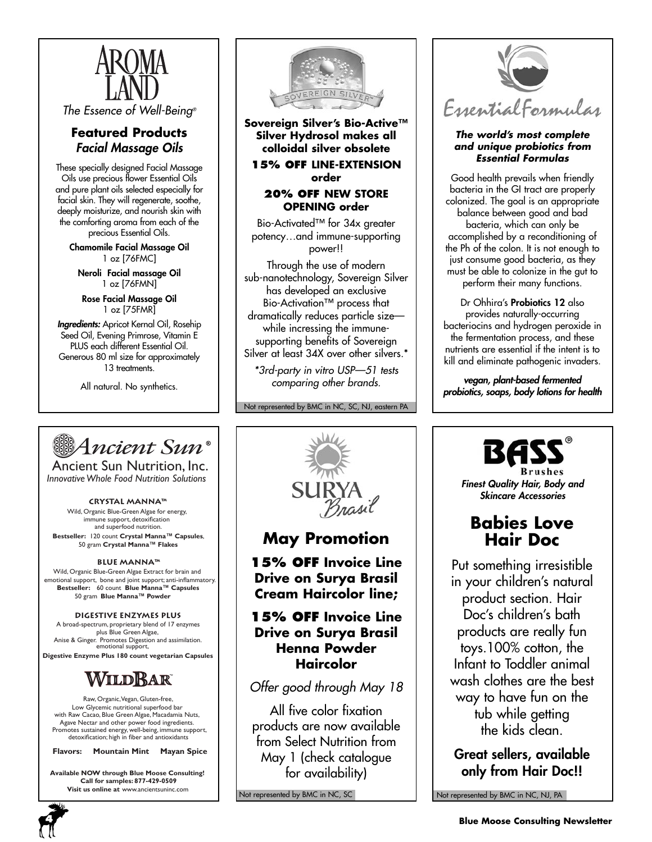

The Essence of Well-Being®

## **Featured Products** Facial Massage Oils

These specially designed Facial Massage Oils use precious flower Essential Oils and pure plant oils selected especially for facial skin. They will regenerate, soothe, deeply moisturize, and nourish skin with the comforting aroma from each of the precious Essential Oils.

Chamomile Facial Massage Oil 1 oz [76FMC]

Neroli Facial massage Oil 1 oz [76FMN]

Rose Facial Massage Oil 1 oz [75FMR]

Ingredients: Apricot Kernal Oil, Rosehip Seed Oil, Evening Primrose, Vitamin E PLUS each different Essential Oil. Generous 80 ml size for approximately 13 treatments.

All natural. No synthetics.



**Sovereign Silver's Bio-Active™ Silver Hydrosol makes all colloidal silver obsolete**

**15% OFF LINE-EXTENSION order**

### **20% OFF NEW STORE OPENING order**

Bio-Activated™ for 34x greater potency…and immune-supporting power!!

Through the use of modern sub-nanotechnology, Sovereign Silver has developed an exclusive Bio-Activation™ process that dramatically reduces particle size while incressing the immunesupporting benefits of Sovereign Silver at least 34X over other silvers.<sup>\*</sup>

\*3rd-party in vitro USP—51 tests comparing other brands.

Not represented by BMC in NC, SC, NJ, eastern PA



Ancient Sun Nutrition, Inc. *Innovative Whole Food Nutrition Solutions*

#### **Crystal Manna™**

Wild, Organic Blue-Green Algae for energy, immune support, detoxification and superfood nutrition. **Bestseller:** 120 count **Crystal Manna™ Capsules**, 50 gram **Crystal Manna™ Flakes**

#### **Blue Manna™**

Wild, Organic Blue-Green Algae Extract for brain and emotional support, bone and joint support; anti-inflammatory. **Bestseller:** 60 count **Blue Manna™ Capsules** 50 gram **Blue Manna™ Powder**

#### **Digestive Enzymes Plus**

emotional support, A broad-spectrum, proprietary blend of 17 enzymes plus Blue Green Algae, Anise & Ginger. Promotes Digestion and assimilation.

**Digestive Enzyme Plus 180 count vegetarian Capsules**

# WILDBAR

Raw, Organic,Vegan, Gluten-free, Low Glycemic nutritional superfood bar with Raw Cacao, Blue Green Algae, Macadamia Nuts, Agave Nectar and other power food ingredients. Promotes sustained energy, well-being, immune support, detoxification; high in fiber and antioxidants

**Flavors: Mountain Mint Mayan Spice**

**Available NOW through Blue Moose Consulting! Call for samples: 877-429-0509 Visit us online at** www.ancientsuninc.com





# **May Promotion**

**15% OFF Invoice Line Drive on Surya Brasil Cream Haircolor line;**

## **15% OFF Invoice Line Drive on Surya Brasil Henna Powder Haircolor**

Offer good through May 18

All five color fixation products are now available from Select Nutrition from May 1 (check catalogue for availability)

Not represented by BMC in NC, SC



#### **The world's most complete and unique probiotics from Essential Formulas**

Good health prevails when friendly bacteria in the GI tract are properly colonized. The goal is an appropriate balance between good and bad bacteria, which can only be accomplished by a reconditioning of the Ph of the colon. It is not enough to just consume good bacteria, as they must be able to colonize in the gut to perform their many functions.

Dr Ohhira's Probiotics 12 also provides naturally-occurring bacteriocins and hydrogen peroxide in the fermentation process, and these nutrients are essential if the intent is to kill and eliminate pathogenic invaders.

vegan, plant-based fermented probiotics, soaps, body lotions for health



Finest Quality Hair, Body and Skincare Accessories

# **Babies Love Hair Doc**

Put something irresistible in your children's natural product section. Hair Doc's children's bath products are really fun toys.100% cotton, the Infant to Toddler animal wash clothes are the best way to have fun on the tub while getting the kids clean.

Great sellers, available only from Hair Doc!!

Not represented by BMC in NC, NJ, PA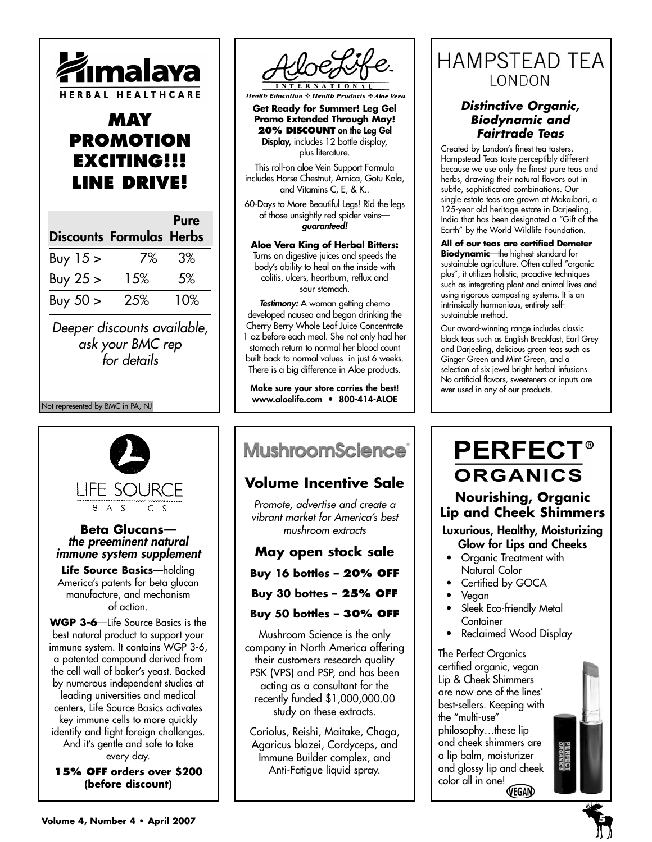

# **MAY PROMOTION EXCITING!!! LINE DRIVE!**

|              | <b>Discounts Formulas Herbs</b> | Pure |
|--------------|---------------------------------|------|
| Buy $15 \ge$ | 7%                              | 3%   |
| Buy $25 >$   | 15%                             | 5%   |
| Buy $50 >$   | 25%                             | 10%  |

Deeper discounts available, ask your BMC rep for details

#### Not represented by BMC in PA, NJ



### **Beta Glucans** the preeminent natural immune system supplement

**Life Source Basics**—holding America's patents for beta glucan manufacture, and mechanism of action.

**WGP 3-6**—Life Source Basics is the best natural product to support your immune system. It contains WGP 3-6, a patented compound derived from the cell wall of baker's yeast. Backed by numerous independent studies at leading universities and medical centers, Life Source Basics activates key immune cells to more quickly identify and fight foreign challenges. And it's gentle and safe to take every day.

**15% OFF orders over \$200 (before discount)**



**Health Education**  $\div$  **Health Products**  $\div$  **Aloe Vera** 

**Get Ready for Summer! Leg Gel Promo Extended Through May! 20% DISCOUNT** on the Leg Gel Display, includes 12 bottle display, plus literature.

This roll-on aloe Vein Support Formula includes Horse Chestnut, Arnica, Gotu Kola, and Vitamins C, E, & K..

60-Days to More Beautiful Legs! Rid the legs of those unsightly red spider veins guaranteed!

#### **Aloe Vera King of Herbal Bitters:** Turns on digestive juices and speeds the body's ability to heal on the inside with colitis, ulcers, heartburn, reflux and sour stomach.

Testimony: A woman getting chemo developed nausea and began drinking the Cherry Berry Whole Leaf Juice Concentrate 1 oz before each meal. She not only had her stomach return to normal her blood count built back to normal values in just 6 weeks. There is a big difference in Aloe products.

Make sure your store carries the best! www.aloelife.com • 800-414-ALOE

# **MushroomScience**®

# **Volume Incentive Sale**

Promote, advertise and create a vibrant market for America's best mushroom extracts

## **May open stock sale**

**Buy 16 bottles – 20% OFF**

**Buy 30 bottes – 25% OFF**

### **Buy 50 bottles – 30% OFF**

Mushroom Science is the only company in North America offering their customers research quality PSK (VPS) and PSP, and has been acting as a consultant for the recently funded \$1,000,000.00 study on these extracts.

Coriolus, Reishi, Maitake, Chaga, Agaricus blazei, Cordyceps, and Immune Builder complex, and Anti-Fatigue liquid spray.

# **HAMPSTEAD TEA** LONDON

## **Distinctive Organic, Biodynamic and Fairtrade Teas**

Created by London's finest tea tasters, Hampstead Teas taste perceptibly different because we use only the finest pure teas and herbs, drawing their natural flavors out in subtle, sophisticated combinations. Our single estate teas are grown at Makaibari, a 125-year old heritage estate in Darjeeling, India that has been designated a "Gift of the Earth" by the World Wildlife Foundation.

**All of our teas are certified Demeter Biodynamic**—the highest standard for sustainable agriculture. Often called "organic plus", it utilizes holistic, proactive techniques such as integrating plant and animal lives and using rigorous composting systems. It is an intrinsically harmonious, entirely selfsustainable method.

Our award-winning range includes classic black teas such as English Breakfast, Earl Grey and Darjeeling, delicious green teas such as Ginger Green and Mint Green, and a selection of six jewel bright herbal infusions. No artificial flavors, sweeteners or inputs are ever used in any of our products.

# **PERFECT® ORGANICS Nourishing, Organic**

# **Lip and Cheek Shimmers**

Luxurious, Healthy, Moisturizing

- Glow for Lips and Cheeks • Organic Treatment with Natural Color
- Certified by GOCA
- Vegan
- Sleek Eco-friendly Metal **Container**
- Reclaimed Wood Display

The Perfect Organics certified organic, vegan Lip & Cheek Shimmers are now one of the lines' best-sellers. Keeping with the "multi-use" philosophy…these lip and cheek shimmers are a lip balm, moisturizer and glossy lip and cheek color all in one!

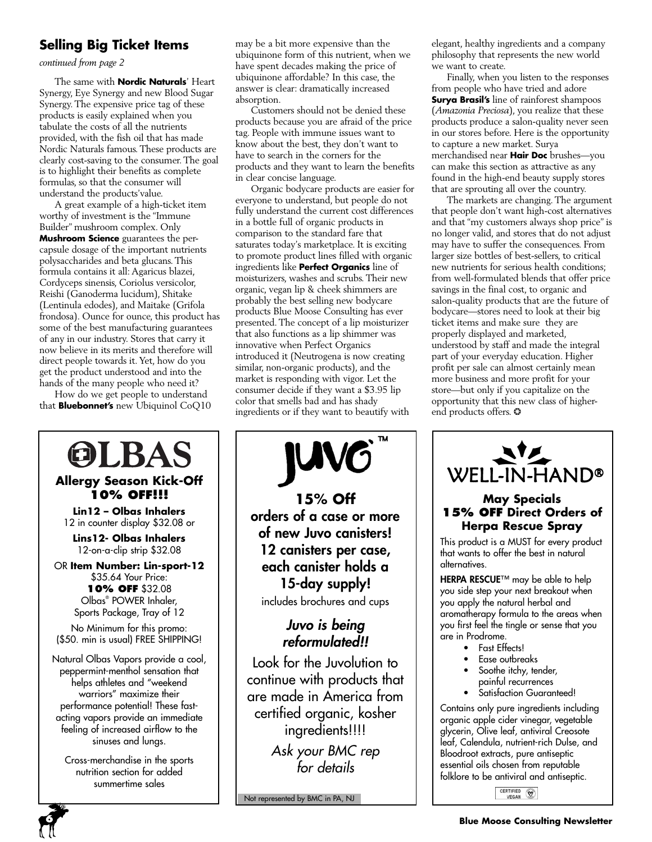## **Selling Big Ticket Items**

*continued from page 2*

The same with **Nordic Naturals**' Heart Synergy, Eye Synergy and new Blood Sugar Synergy. The expensive price tag of these products is easily explained when you tabulate the costs of all the nutrients provided, with the fish oil that has made Nordic Naturals famous. These products are clearly cost-saving to the consumer. The goal is to highlight their benefits as complete formulas, so that the consumer will understand the products'value.

A great example of a high-ticket item worthy of investment is the "Immune Builder" mushroom complex. Only **Mushroom Science** guarantees the percapsule dosage of the important nutrients polysaccharides and beta glucans. This formula contains it all: Agaricus blazei, Cordyceps sinensis, Coriolus versicolor, Reishi (Ganoderma lucidum), Shitake (Lentinula edodes), and Maitake (Grifola frondosa). Ounce for ounce, this product has some of the best manufacturing guarantees of any in our industry. Stores that carry it now believe in its merits and therefore will direct people towards it.Yet, how do you get the product understood and into the hands of the many people who need it?

How do we get people to understand that **Bluebonnet's** new Ubiquinol CoQ10

## OLBAS **Allergy Season Kick-Off 10% OFF!!! Lin12 – Olbas Inhalers** 12 in counter display \$32.08 or **Lins12- Olbas Inhalers** 12-on-a-clip strip \$32.08 OR **Item Number: Lin-sport-12**  \$35.64 Your Price: **10% OFF** \$32.08 Olbas® POWER Inhaler, Sports Package, Tray of 12 No Minimum for this promo: (\$50. min is usual) FREE SHIPPING!

Natural Olbas Vapors provide a cool, peppermint-menthol sensation that helps athletes and "weekend warriors" maximize their performance potential! These fastacting vapors provide an immediate feeling of increased airflow to the sinuses and lungs.

Cross-merchandise in the sports nutrition section for added summertime sales

may be a bit more expensive than the ubiquinone form of this nutrient, when we have spent decades making the price of ubiquinone affordable? In this case, the answer is clear: dramatically increased absorption.

Customers should not be denied these products because you are afraid of the price tag. People with immune issues want to know about the best, they don't want to have to search in the corners for the products and they want to learn the benefits in clear concise language.

Organic bodycare products are easier for everyone to understand, but people do not fully understand the current cost differences in a bottle full of organic products in comparison to the standard fare that saturates today's marketplace. It is exciting to promote product lines filled with organic ingredients like **Perfect Organics** line of moisturizers, washes and scrubs. Their new organic, vegan lip & cheek shimmers are probably the best selling new bodycare products Blue Moose Consulting has ever presented. The concept of a lip moisturizer that also functions as a lip shimmer was innovative when Perfect Organics introduced it (Neutrogena is now creating similar, non-organic products), and the market is responding with vigor. Let the consumer decide if they want a \$3.95 lip color that smells bad and has shady ingredients or if they want to beautify with



Not represented by BMC in PA, NJ

elegant, healthy ingredients and a company philosophy that represents the new world we want to create.

Finally, when you listen to the responses from people who have tried and adore **Surya Brasil's** line of rainforest shampoos (*Amazonia Preciosa*), you realize that these products produce a salon-quality never seen in our stores before. Here is the opportunity to capture a new market. Surya merchandised near **Hair Doc** brushes—you can make this section as attractive as any found in the high-end beauty supply stores that are sprouting all over the country.

The markets are changing. The argument that people don't want high-cost alternatives and that "my customers always shop price" is no longer valid, and stores that do not adjust may have to suffer the consequences. From larger size bottles of best-sellers, to critical new nutrients for serious health conditions; from well-formulated blends that offer price savings in the final cost, to organic and salon-quality products that are the future of bodycare—stores need to look at their big ticket items and make sure they are properly displayed and marketed, understood by staff and made the integral part of your everyday education. Higher profit per sale can almost certainly mean more business and more profit for your store—but only if you capitalize on the opportunity that this new class of higherend products offers. ❂



### **May Specials 15% OFF Direct Orders of Herpa Rescue Spray**

This product is a MUST for every product that wants to offer the best in natural alternatives.

HERPA RESCUE™ may be able to help you side step your next breakout when you apply the natural herbal and aromatherapy formula to the areas when you first feel the tingle or sense that you are in Prodrome.

- Fast Effects!
- Ease outbreaks
- Soothe itchy, tender, painful recurrences
- Satisfaction Guaranteed!

Contains only pure ingredients including organic apple cider vinegar, vegetable glycerin, Olive leaf, antiviral Creosote leaf, Calendula, nutrient-rich Dulse, and Bloodroot extracts, pure antiseptic essential oils chosen from reputable folklore to be antiviral and antiseptic.

CERTIFIED (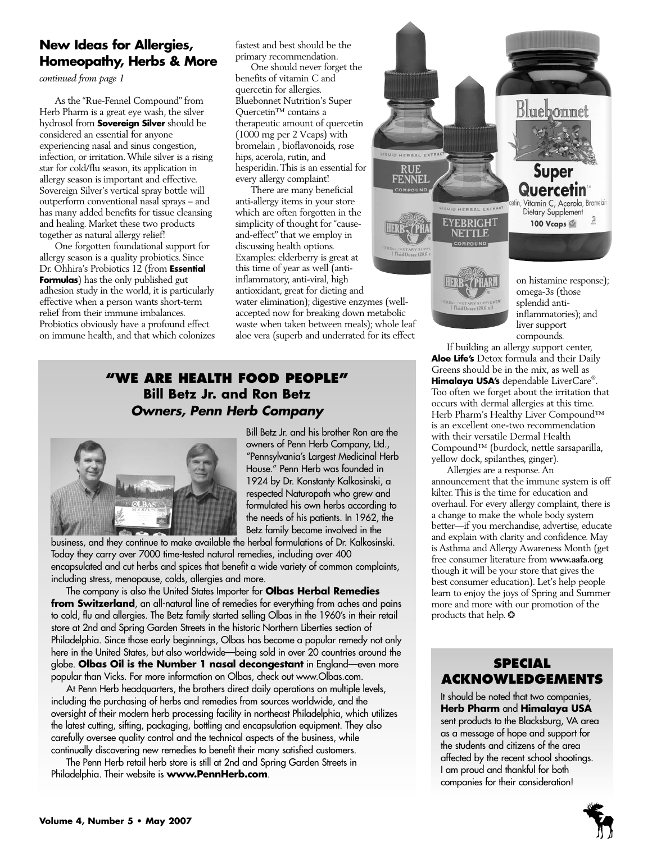## **New Ideas for Allergies, Homeopathy, Herbs & More**

*continued from page 1*

As the "Rue-Fennel Compound" from Herb Pharm is a great eye wash, the silver hydrosol from **Sovereign Silver** should be considered an essential for anyone experiencing nasal and sinus congestion, infection, or irritation.While silver is a rising star for cold/flu season, its application in allergy season is important and effective. Sovereign Silver's vertical spray bottle will outperform conventional nasal sprays – and has many added benefits for tissue cleansing and healing. Market these two products together as natural allergy relief!

One forgotten foundational support for allergy season is a quality probiotics. Since Dr. Ohhira's Probiotics 12 (from **Essential Formulas**) has the only published gut adhesion study in the world, it is particularly effective when a person wants short-term relief from their immune imbalances. Probiotics obviously have a profound effect on immune health, and that which colonizes fastest and best should be the primary recommendation.

One should never forget the benefits of vitamin C and quercetin for allergies. Bluebonnet Nutrition's Super Quercetin™ contains a therapeutic amount of quercetin (1000 mg per 2 Vcaps) with bromelain , bioflavonoids, rose hips, acerola, rutin, and hesperidin.This is an essential for every allergy complaint!

RUE<br>FENNEL There are many beneficial COMPOUND anti-allergy items in your store which are often forgotten in the simplicity of thought for "causeand-effect" that we employ in discussing health options. **REAL DIETARY SUPPL**<br>1 Fluid Ounce 129.6 m Examples: elderberry is great at this time of year as well (antiinflammatory, anti-viral, high antioxidant, great for dieting and water elimination); digestive enzymes (wellaccepted now for breaking down metabolic waste when taken between meals); whole leaf aloe vera (superb and underrated for its effect

ERBAL EXT

**HERRY** 

 $re 129.6$ 

## **"WE ARE HEALTH FOOD PEOPLE" Bill Betz Jr. and Ron Betz Owners, Penn Herb Company**



Bill Betz Jr. and his brother Ron are the owners of Penn Herb Company, Ltd., "Pennsylvania's Largest Medicinal Herb House." Penn Herb was founded in 1924 by Dr. Konstanty Kalkosinski, a respected Naturopath who grew and formulated his own herbs according to the needs of his patients. In 1962, the Betz family became involved in the

business, and they continue to make available the herbal formulations of Dr. Kalkosinski. Today they carry over 7000 time-tested natural remedies, including over 400 encapsulated and cut herbs and spices that benefit a wide variety of common complaints, including stress, menopause, colds, allergies and more.

The company is also the United States Importer for **Olbas Herbal Remedies from Switzerland**, an all-natural line of remedies for everything from aches and pains to cold, flu and allergies. The Betz family started selling Olbas in the 1960's in their retail store at 2nd and Spring Garden Streets in the historic Northern Liberties section of Philadelphia. Since those early beginnings, Olbas has become a popular remedy not only here in the United States, but also worldwide—being sold in over 20 countries around the globe. **Olbas Oil is the Number 1 nasal decongestant** in England—even more popular than Vicks. For more information on Olbas, check out www.Olbas.com.

At Penn Herb headquarters, the brothers direct daily operations on multiple levels, including the purchasing of herbs and remedies from sources worldwide, and the oversight of their modern herb processing facility in northeast Philadelphia, which utilizes the latest cutting, sifting, packaging, bottling and encapsulation equipment. They also carefully oversee quality control and the technical aspects of the business, while continually discovering new remedies to benefit their many satisfied customers.

The Penn Herb retail herb store is still at 2nd and Spring Garden Streets in Philadelphia. Their website is **www.PennHerb.com**.



on histamine response); omega-3s (those splendid antiinflammatories); and liver support compounds.

If building an allergy support center, **Aloe Life's** Detox formula and their Daily Greens should be in the mix, as well as **Himalaya USA's** dependable LiverCare® . Too often we forget about the irritation that occurs with dermal allergies at this time. Herb Pharm's Healthy Liver Compound™ is an excellent one-two recommendation with their versatile Dermal Health Compound™ (burdock, nettle sarsaparilla, yellow dock, spilanthes, ginger).

Allergies are a response.An announcement that the immune system is off kilter.This is the time for education and overhaul. For every allergy complaint, there is a change to make the whole body system better—if you merchandise, advertise, educate and explain with clarity and confidence. May is Asthma and Allergy Awareness Month (get free consumer literature from **www.aafa.org** though it will be your store that gives the best consumer education). Let's help people learn to enjoy the joys of Spring and Summer more and more with our promotion of the products that help. ❂

## **SPECIAL ACKNOWLEDGEMENTS**

It should be noted that two companies, **Herb Pharm** and **Himalaya USA** sent products to the Blacksburg, VA area as a message of hope and support for the students and citizens of the area affected by the recent school shootings. I am proud and thankful for both companies for their consideration!